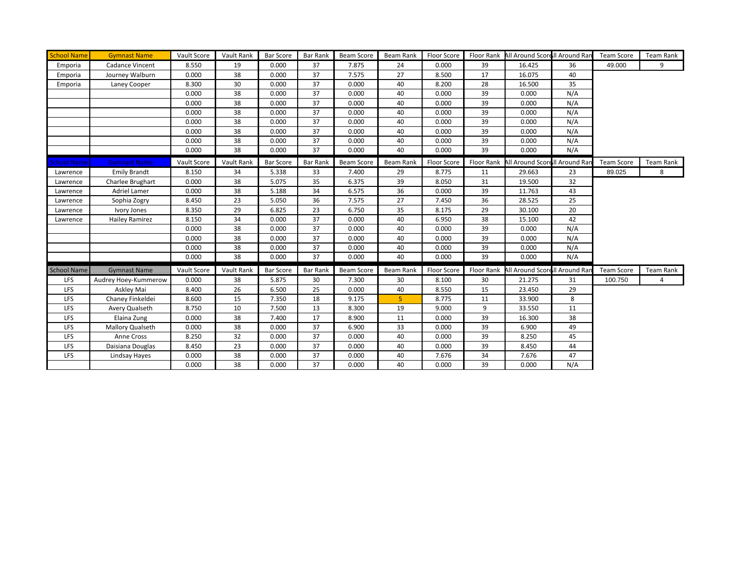| <b>School Name</b> | <b>Gymnast Name</b>   | Vault Score | Vault Rank | <b>Bar Score</b> | <b>Bar Rank</b> | <b>Beam Score</b> | Beam Rank | Floor Score |            | Floor Rank All Around Scorell Around Ran |     | <b>Team Score</b> | Team Rank |
|--------------------|-----------------------|-------------|------------|------------------|-----------------|-------------------|-----------|-------------|------------|------------------------------------------|-----|-------------------|-----------|
| Emporia            | Cadance Vincent       | 8.550       | 19         | 0.000            | 37              | 7.875             | 24        | 0.000       | 39         | 16.425                                   | 36  | 49.000            | 9         |
| Emporia            | Journey Walburn       | 0.000       | 38         | 0.000            | 37              | 7.575             | 27        | 8.500       | 17         | 16.075                                   | 40  |                   |           |
| Emporia            | Laney Cooper          | 8.300       | 30         | 0.000            | 37              | 0.000             | 40        | 8.200       | 28         | 16.500                                   | 35  |                   |           |
|                    |                       | 0.000       | 38         | 0.000            | 37              | 0.000             | 40        | 0.000       | 39         | 0.000                                    | N/A |                   |           |
|                    |                       | 0.000       | 38         | 0.000            | 37              | 0.000             | 40        | 0.000       | 39         | 0.000                                    | N/A |                   |           |
|                    |                       | 0.000       | 38         | 0.000            | 37              | 0.000             | 40        | 0.000       | 39         | 0.000                                    | N/A |                   |           |
|                    |                       | 0.000       | 38         | 0.000            | 37              | 0.000             | 40        | 0.000       | 39         | 0.000                                    | N/A |                   |           |
|                    |                       | 0.000       | 38         | 0.000            | 37              | 0.000             | 40        | 0.000       | 39         | 0.000                                    | N/A |                   |           |
|                    |                       | 0.000       | 38         | 0.000            | 37              | 0.000             | 40        | 0.000       | 39         | 0.000                                    | N/A |                   |           |
|                    |                       | 0.000       | 38         | 0.000            | 37              | 0.000             | 40        | 0.000       | 39         | 0.000                                    | N/A |                   |           |
| <b>School Name</b> | <b>Gymnast Name</b>   | Vault Score | Vault Rank | <b>Bar Score</b> | <b>Bar Rank</b> | Beam Score        | Beam Rank | Floor Score | Floor Rank | All Around Scorell Around Ran            |     | Team Score        | Team Rank |
| Lawrence           | <b>Emily Brandt</b>   | 8.150       | 34         | 5.338            | 33              | 7.400             | 29        | 8.775       | 11         | 29.663                                   | 23  | 89.025            | 8         |
| Lawrence           | Charlee Brughart      | 0.000       | 38         | 5.075            | 35              | 6.375             | 39        | 8.050       | 31         | 19.500                                   | 32  |                   |           |
| Lawrence           | <b>Adriel Lamer</b>   | 0.000       | 38         | 5.188            | 34              | 6.575             | 36        | 0.000       | 39         | 11.763                                   | 43  |                   |           |
| Lawrence           | Sophia Zogry          | 8.450       | 23         | 5.050            | 36              | 7.575             | 27        | 7.450       | 36         | 28.525                                   | 25  |                   |           |
| Lawrence           | Ivory Jones           | 8.350       | 29         | 6.825            | 23              | 6.750             | 35        | 8.175       | 29         | 30.100                                   | 20  |                   |           |
| Lawrence           | <b>Hailey Ramirez</b> | 8.150       | 34         | 0.000            | 37              | 0.000             | 40        | 6.950       | 38         | 15.100                                   | 42  |                   |           |
|                    |                       | 0.000       | 38         | 0.000            | 37              | 0.000             | 40        | 0.000       | 39         | 0.000                                    | N/A |                   |           |
|                    |                       | 0.000       | 38         | 0.000            | 37              | 0.000             | 40        | 0.000       | 39         | 0.000                                    | N/A |                   |           |
|                    |                       | 0.000       | 38         | 0.000            | 37              | 0.000             | 40        | 0.000       | 39         | 0.000                                    | N/A |                   |           |
|                    |                       | 0.000       | 38         | 0.000            | 37              | 0.000             | 40        | 0.000       | 39         | 0.000                                    | N/A |                   |           |
| <b>School Name</b> | <b>Gymnast Name</b>   | Vault Score | Vault Rank | <b>Bar Score</b> | <b>Bar Rank</b> | Beam Score        | Beam Rank | Floor Score | Floor Rank | All Around Scorell Around Rar            |     | Team Score        | Team Rank |
| LFS                | Audrey Hoey-Kummerow  | 0.000       | 38         | 5.875            | 30              | 7.300             | 30        | 8.100       | 30         | 21.275                                   | 31  | 100.750           | 4         |
| LFS                | Askley Mai            | 8.400       | 26         | 6.500            | 25              | 0.000             | 40        | 8.550       | 15         | 23.450                                   | 29  |                   |           |
| LFS                | Chaney Finkeldei      | 8.600       | 15         | 7.350            | 18              | 9.175             | 5         | 8.775       | 11         | 33.900                                   | 8   |                   |           |
| LFS                | Avery Qualseth        | 8.750       | 10         | 7.500            | 13              | 8.300             | 19        | 9.000       | 9          | 33.550                                   | 11  |                   |           |
| LFS                | Elaina Zung           | 0.000       | 38         | 7.400            | 17              | 8.900             | 11        | 0.000       | 39         | 16.300                                   | 38  |                   |           |
| LFS                | Mallory Qualseth      | 0.000       | 38         | 0.000            | 37              | 6.900             | 33        | 0.000       | 39         | 6.900                                    | 49  |                   |           |
| LFS                | Anne Cross            | 8.250       | 32         | 0.000            | 37              | 0.000             | 40        | 0.000       | 39         | 8.250                                    | 45  |                   |           |
| LFS                | Daisiana Douglas      | 8.450       | 23         | 0.000            | 37              | 0.000             | 40        | 0.000       | 39         | 8.450                                    | 44  |                   |           |
| LFS                | Lindsay Hayes         | 0.000       | 38         | 0.000            | 37              | 0.000             | 40        | 7.676       | 34         | 7.676                                    | 47  |                   |           |
|                    |                       | 0.000       | 38         | 0.000            | 37              | 0.000             | 40        | 0.000       | 39         | 0.000                                    | N/A |                   |           |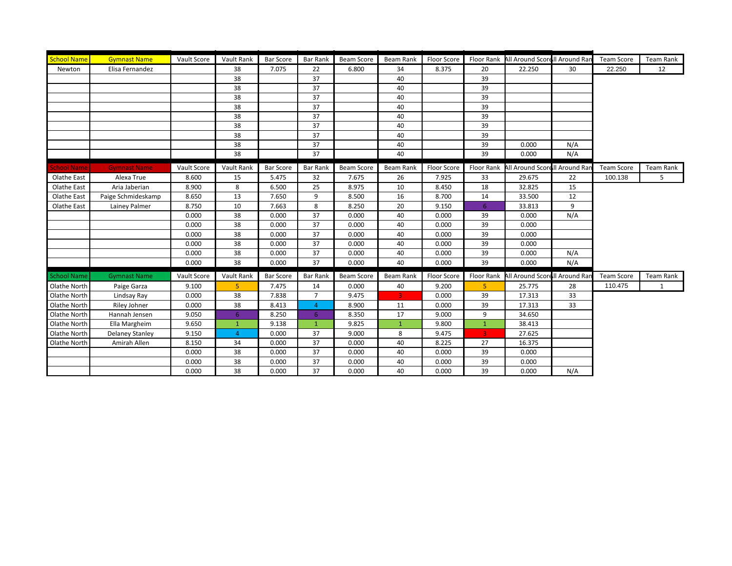| <b>School Name</b> | <b>Gymnast Name</b>    | Vault Score | Vault Rank     | <b>Bar Score</b> | <b>Bar Rank</b> | Beam Score        | Beam Rank      | Floor Score | Floor Rank        | All Around Scorell Around Ran |     | <b>Team Score</b> | <b>Team Rank</b> |
|--------------------|------------------------|-------------|----------------|------------------|-----------------|-------------------|----------------|-------------|-------------------|-------------------------------|-----|-------------------|------------------|
| Newton             | Elisa Fernandez        |             | 38             | 7.075            | 22              | 6.800             | 34             | 8.375       | 20                | 22.250                        | 30  | 22.250            | 12               |
|                    |                        |             | 38             |                  | 37              |                   | 40             |             | 39                |                               |     |                   |                  |
|                    |                        |             | 38             |                  | 37              |                   | 40             |             | 39                |                               |     |                   |                  |
|                    |                        |             | 38             |                  | 37              |                   | 40             |             | 39                |                               |     |                   |                  |
|                    |                        |             | 38             |                  | 37              |                   | 40             |             | 39                |                               |     |                   |                  |
|                    |                        |             | 38             |                  | 37              |                   | 40             |             | 39                |                               |     |                   |                  |
|                    |                        |             | 38             |                  | 37              |                   | 40             |             | 39                |                               |     |                   |                  |
|                    |                        |             | 38             |                  | 37              |                   | 40             |             | 39                |                               |     |                   |                  |
|                    |                        |             | 38             |                  | 37              |                   | 40             |             | 39                | 0.000                         | N/A |                   |                  |
|                    |                        |             | 38             |                  | 37              |                   | 40             |             | 39                | 0.000                         | N/A |                   |                  |
| <b>School Name</b> | <b>Gymnast Name</b>    | Vault Score | Vault Rank     | <b>Bar Score</b> | <b>Bar Rank</b> | Beam Score        | Beam Rank      | Floor Score | <b>Floor Rank</b> | All Around Scorell Around Rar |     | <b>Team Score</b> | Team Rank        |
| Olathe East        | Alexa True             | 8.600       | 15             | 5.475            | 32              | 7.675             | 26             | 7.925       | 33                | 29.675                        | 22  | 100.138           | 5                |
| Olathe East        | Aria Jaberian          | 8.900       | 8              | 6.500            | 25              | 8.975             | 10             | 8.450       | 18                | 32.825                        | 15  |                   |                  |
| Olathe East        | Paige Schmideskamp     | 8.650       | 13             | 7.650            | 9               | 8.500             | 16             | 8.700       | 14                | 33.500                        | 12  |                   |                  |
| Olathe East        | Lainey Palmer          | 8.750       | 10             | 7.663            | 8               | 8.250             | 20             | 9.150       | 6                 | 33.813                        | 9   |                   |                  |
|                    |                        | 0.000       | 38             | 0.000            | 37              | 0.000             | 40             | 0.000       | 39                | 0.000                         | N/A |                   |                  |
|                    |                        | 0.000       | 38             | 0.000            | 37              | 0.000             | 40             | 0.000       | 39                | 0.000                         |     |                   |                  |
|                    |                        | 0.000       | 38             | 0.000            | 37              | 0.000             | 40             | 0.000       | 39                | 0.000                         |     |                   |                  |
|                    |                        | 0.000       | 38             | 0.000            | 37              | 0.000             | 40             | 0.000       | 39                | 0.000                         |     |                   |                  |
|                    |                        | 0.000       | 38             | 0.000            | 37              | 0.000             | 40             | 0.000       | 39                | 0.000                         | N/A |                   |                  |
|                    |                        | 0.000       | 38             | 0.000            | 37              | 0.000             | 40             | 0.000       | 39                | 0.000                         | N/A |                   |                  |
| <b>School Name</b> | <b>Gymnast Name</b>    | Vault Score | Vault Rank     | <b>Bar Score</b> | <b>Bar Rank</b> | <b>Beam Score</b> | Beam Rank      | Floor Score | <b>Floor Rank</b> | All Around Scorell Around Rar |     | <b>Team Score</b> | Team Rank        |
| Olathe North       | Paige Garza            | 9.100       | 5              | 7.475            | 14              | 0.000             | 40             | 9.200       | 5                 | 25.775                        | 28  | 110.475           | $\mathbf{1}$     |
| Olathe North       | Lindsay Ray            | 0.000       | 38             | 7.838            | $\overline{7}$  | 9.475             | $\overline{3}$ | 0.000       | 39                | 17.313                        | 33  |                   |                  |
| Olathe North       | Riley Johner           | 0.000       | 38             | 8.413            | $\overline{4}$  | 8.900             | 11             | 0.000       | 39                | 17.313                        | 33  |                   |                  |
| Olathe North       | Hannah Jensen          | 9.050       | 6              | 8.250            | 6               | 8.350             | 17             | 9.000       | 9                 | 34.650                        |     |                   |                  |
| Olathe North       | Ella Margheim          | 9.650       | $\overline{1}$ | 9.138            | $\overline{1}$  | 9.825             | $\mathbf{1}$   | 9.800       | $\mathbf{1}$      | 38.413                        |     |                   |                  |
| Olathe North       | <b>Delaney Stanley</b> | 9.150       | $\overline{4}$ | 0.000            | 37              | 9.000             | 8              | 9.475       | 3                 | 27.625                        |     |                   |                  |
| Olathe North       | Amirah Allen           | 8.150       | 34             | 0.000            | 37              | 0.000             | 40             | 8.225       | 27                | 16.375                        |     |                   |                  |
|                    |                        | 0.000       | 38             | 0.000            | 37              | 0.000             | 40             | 0.000       | 39                | 0.000                         |     |                   |                  |
|                    |                        | 0.000       | 38             | 0.000            | 37              | 0.000             | 40             | 0.000       | 39                | 0.000                         |     |                   |                  |
|                    |                        | 0.000       | 38             | 0.000            | 37              | 0.000             | 40             | 0.000       | 39                | 0.000                         | N/A |                   |                  |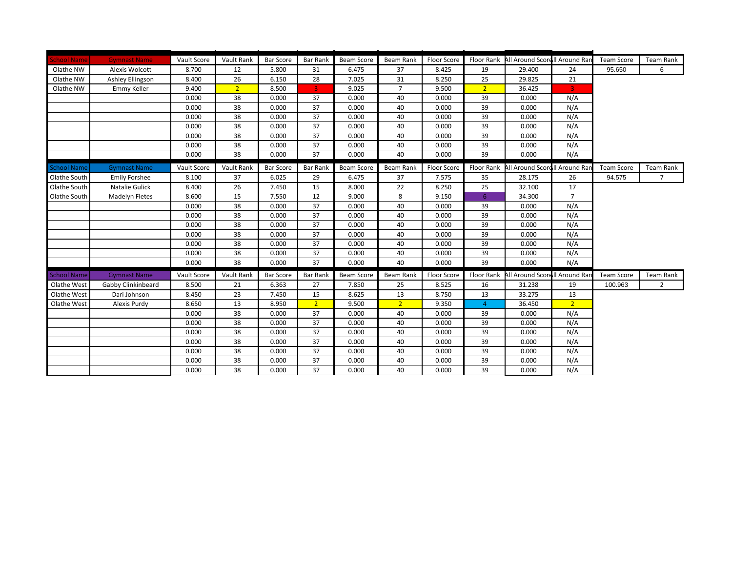| <b>School Name</b> | <b>Gymnast Name</b>   | Vault Score | Vault Rank     | <b>Bar Score</b> | <b>Bar Rank</b> | Beam Score        | Beam Rank      | Floor Score |                   | Floor Rank All Around Scorell Around Ran |                | <b>Team Score</b> | <b>Team Rank</b> |
|--------------------|-----------------------|-------------|----------------|------------------|-----------------|-------------------|----------------|-------------|-------------------|------------------------------------------|----------------|-------------------|------------------|
| Olathe NW          | Alexis Wolcott        | 8.700       | 12             | 5.800            | 31              | 6.475             | 37             | 8.425       | 19                | 29.400                                   | 24             | 95.650            | 6                |
| Olathe NW          | Ashley Ellingson      | 8.400       | 26             | 6.150            | 28              | 7.025             | 31             | 8.250       | 25                | 29.825                                   | 21             |                   |                  |
| Olathe NW          | Emmy Keller           | 9.400       | 2 <sup>2</sup> | 8.500            | 3               | 9.025             | $\overline{7}$ | 9.500       | 2 <sup>1</sup>    | 36.425                                   | $\overline{3}$ |                   |                  |
|                    |                       | 0.000       | 38             | 0.000            | 37              | 0.000             | 40             | 0.000       | 39                | 0.000                                    | N/A            |                   |                  |
|                    |                       | 0.000       | 38             | 0.000            | 37              | 0.000             | 40             | 0.000       | 39                | 0.000                                    | N/A            |                   |                  |
|                    |                       | 0.000       | 38             | 0.000            | 37              | 0.000             | 40             | 0.000       | 39                | 0.000                                    | N/A            |                   |                  |
|                    |                       | 0.000       | 38             | 0.000            | 37              | 0.000             | 40             | 0.000       | 39                | 0.000                                    | N/A            |                   |                  |
|                    |                       | 0.000       | 38             | 0.000            | 37              | 0.000             | 40             | 0.000       | 39                | 0.000                                    | N/A            |                   |                  |
|                    |                       | 0.000       | 38             | 0.000            | 37              | 0.000             | 40             | 0.000       | 39                | 0.000                                    | N/A            |                   |                  |
|                    |                       | 0.000       | 38             | 0.000            | 37              | 0.000             | 40             | 0.000       | 39                | 0.000                                    | N/A            |                   |                  |
| <b>School Name</b> | <b>Gymnast Name</b>   | Vault Score | Vault Rank     | <b>Bar Score</b> | <b>Bar Rank</b> | Beam Score        | Beam Rank      | Floor Score | Floor Rank        | All Around Scorell Around Ran            |                | <b>Team Score</b> | Team Rank        |
| Olathe South       | <b>Emily Forshee</b>  | 8.100       | 37             | 6.025            | 29              | 6.475             | 37             | 7.575       | 35                | 28.175                                   | 26             | 94.575            | $7^{\circ}$      |
| Olathe South       | Natalie Gulick        | 8.400       | 26             | 7.450            | 15              | 8.000             | 22             | 8.250       | 25                | 32.100                                   | 17             |                   |                  |
| Olathe South       | <b>Madelyn Fletes</b> | 8.600       | 15             | 7.550            | 12              | 9.000             | 8              | 9.150       | 6                 | 34.300                                   | $\overline{7}$ |                   |                  |
|                    |                       | 0.000       | 38             | 0.000            | 37              | 0.000             | 40             | 0.000       | 39                | 0.000                                    | N/A            |                   |                  |
|                    |                       | 0.000       | 38             | 0.000            | 37              | 0.000             | 40             | 0.000       | 39                | 0.000                                    | N/A            |                   |                  |
|                    |                       | 0.000       | 38             | 0.000            | 37              | 0.000             | 40             | 0.000       | 39                | 0.000                                    | N/A            |                   |                  |
|                    |                       | 0.000       | 38             | 0.000            | 37              | 0.000             | 40             | 0.000       | 39                | 0.000                                    | N/A            |                   |                  |
|                    |                       | 0.000       | 38             | 0.000            | 37              | 0.000             | 40             | 0.000       | 39                | 0.000                                    | N/A            |                   |                  |
|                    |                       | 0.000       | 38             | 0.000            | 37              | 0.000             | 40             | 0.000       | 39                | 0.000                                    | N/A            |                   |                  |
|                    |                       | 0.000       | 38             | 0.000            | 37              | 0.000             | 40             | 0.000       | 39                | 0.000                                    | N/A            |                   |                  |
| <b>School Name</b> | <b>Gymnast Name</b>   | Vault Score | Vault Rank     | <b>Bar Score</b> | Bar Rank        | <b>Beam Score</b> | Beam Rank      | Floor Score | <b>Floor Rank</b> | All Around Scorell Around Rar            |                | <b>Team Score</b> | Team Rank        |
| Olathe West        | Gabby Clinkinbeard    | 8.500       | 21             | 6.363            | 27              | 7.850             | 25             | 8.525       | 16                | 31.238                                   | 19             | 100.963           | $\overline{2}$   |
| Olathe West        | Dari Johnson          | 8.450       | 23             | 7.450            | 15              | 8.625             | 13             | 8.750       | 13                | 33.275                                   | 13             |                   |                  |
| Olathe West        | Alexis Purdy          | 8.650       | 13             | 8.950            | $\overline{2}$  | 9.500             | $\overline{2}$ | 9.350       | $\overline{4}$    | 36.450                                   | $\overline{2}$ |                   |                  |
|                    |                       | 0.000       | 38             | 0.000            | 37              | 0.000             | 40             | 0.000       | 39                | 0.000                                    | N/A            |                   |                  |
|                    |                       | 0.000       | 38             | 0.000            | 37              | 0.000             | 40             | 0.000       | 39                | 0.000                                    | N/A            |                   |                  |
|                    |                       | 0.000       | 38             | 0.000            | 37              | 0.000             | 40             | 0.000       | 39                | 0.000                                    | N/A            |                   |                  |
|                    |                       | 0.000       | 38             | 0.000            | 37              | 0.000             | 40             | 0.000       | 39                | 0.000                                    | N/A            |                   |                  |
|                    |                       | 0.000       | 38             | 0.000            | 37              | 0.000             | 40             | 0.000       | 39                | 0.000                                    | N/A            |                   |                  |
|                    |                       | 0.000       | 38             | 0.000            | 37              | 0.000             | 40             | 0.000       | 39                | 0.000                                    | N/A            |                   |                  |
|                    |                       | 0.000       | 38             | 0.000            | 37              | 0.000             | 40             | 0.000       | 39                | 0.000                                    | N/A            |                   |                  |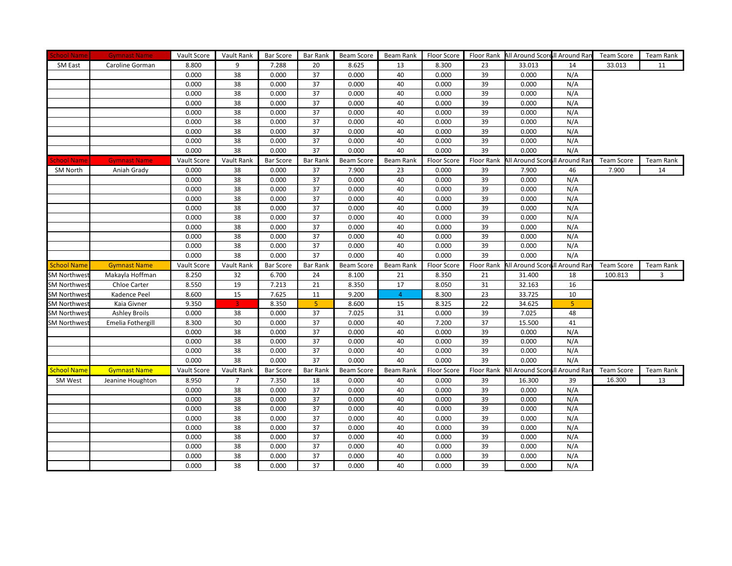| <b>School Name</b>                        | <b>Gymnast Name</b>  | Vault Score | Vault Rank     | <b>Bar Score</b> | Bar Rank        | Beam Score        | Beam Rank      | <b>Floor Score</b> |            | Floor Rank All Around Scorell Around Ran |            | <b>Team Score</b> | Team Rank |
|-------------------------------------------|----------------------|-------------|----------------|------------------|-----------------|-------------------|----------------|--------------------|------------|------------------------------------------|------------|-------------------|-----------|
| SM East                                   | Caroline Gorman      | 8.800       | 9              | 7.288            | 20              | 8.625             | 13             | 8.300              | 23         | 33.013                                   | 14         | 33.013            | 11        |
|                                           |                      | 0.000       | 38             | 0.000            | 37              | 0.000             | 40             | 0.000              | 39         | 0.000                                    | N/A        |                   |           |
|                                           |                      | 0.000       | 38             | 0.000            | 37              | 0.000             | 40             | 0.000              | 39         | 0.000                                    | N/A        |                   |           |
|                                           |                      | 0.000       | 38             | 0.000            | 37              | 0.000             | 40             | 0.000              | 39         | 0.000                                    | N/A        |                   |           |
|                                           |                      | 0.000       | 38             | 0.000            | 37              | 0.000             | 40             | 0.000              | 39         | 0.000                                    | N/A        |                   |           |
|                                           |                      | 0.000       | 38             | 0.000            | 37              | 0.000             | 40             | 0.000              | 39         | 0.000                                    | N/A        |                   |           |
|                                           |                      | 0.000       | 38             | 0.000            | 37              | 0.000             | 40             | 0.000              | 39         | 0.000                                    | N/A        |                   |           |
|                                           |                      | 0.000       | 38             | 0.000            | 37              | 0.000             | 40             | 0.000              | 39         | 0.000                                    | N/A        |                   |           |
|                                           |                      | 0.000       | 38             | 0.000            | 37              | 0.000             | 40             | 0.000              | 39         | 0.000                                    | N/A        |                   |           |
|                                           |                      | 0.000       | 38             | 0.000            | 37              | 0.000             | 40             | 0.000              | 39         | 0.000                                    | N/A        |                   |           |
| School Name                               | <b>Gymnast Name</b>  | Vault Score | Vault Rank     | <b>Bar Score</b> | <b>Bar Rank</b> | <b>Beam Score</b> | Beam Rank      | Floor Score        | Floor Rank | All Around Scorell Around Ran            |            | <b>Team Score</b> | Team Rank |
| SM North                                  | Aniah Grady          | 0.000       | 38             | 0.000            | 37              | 7.900             | 23             | 0.000              | 39         | 7.900                                    | 46         | 7.900             | 14        |
|                                           |                      | 0.000       | 38             | 0.000            | 37              | 0.000             | 40             | 0.000              | 39         | 0.000                                    | N/A        |                   |           |
|                                           |                      | 0.000       | 38             | 0.000            | 37              | 0.000             | 40             | 0.000              | 39         | 0.000                                    | N/A        |                   |           |
|                                           |                      | 0.000       | 38             | 0.000            | 37              | 0.000             | 40             | 0.000              | 39         | 0.000                                    | N/A        |                   |           |
|                                           |                      | 0.000       | 38             | 0.000            | 37              | 0.000             | 40             | 0.000              | 39         | 0.000                                    | N/A        |                   |           |
|                                           |                      | 0.000       | 38             | 0.000            | 37              | 0.000             | 40             | 0.000              | 39         | 0.000                                    | N/A        |                   |           |
|                                           |                      | 0.000       | 38             | 0.000            | 37              | 0.000             | 40             | 0.000              | 39         | 0.000                                    | N/A        |                   |           |
|                                           |                      | 0.000       | 38             | 0.000            | 37              | 0.000             | 40             | 0.000              | 39         | 0.000                                    | N/A        |                   |           |
|                                           |                      | 0.000       | 38             | 0.000            | 37              | 0.000             | 40             | 0.000              | 39         | 0.000                                    | N/A        |                   |           |
|                                           |                      | 0.000       | 38             | 0.000            | 37              | 0.000             | 40             | 0.000              | 39         | 0.000                                    | N/A        |                   |           |
| School Name                               | <b>Gymnast Name</b>  | Vault Score | Vault Rank     | <b>Bar Score</b> | <b>Bar Rank</b> | Beam Score        | Beam Rank      | Floor Score        | Floor Rank | All Around Scorell Around Rar            |            | <b>Team Score</b> | Team Rank |
|                                           |                      |             |                |                  |                 |                   |                |                    |            |                                          |            |                   |           |
| <b>SM Northwest</b>                       | Makayla Hoffman      | 8.250       | 32             | 6.700            | 24              | 8.100             | 21             | 8.350              | 21         | 31.400                                   | 18         | 100.813           | 3         |
| <b>SM Northwes</b>                        | Chloe Carter         | 8.550       | 19             | 7.213            | 21              | 8.350             | 17             | 8.050              | 31         | 32.163                                   | 16         |                   |           |
|                                           | Kadence Peel         | 8.600       | 15             | 7.625            | 11              | 9.200             | $\overline{4}$ | 8.300              | 23         | 33.725                                   | 10         |                   |           |
| <b>SM Northwest</b>                       | Kaia Givner          | 9.350       | 3              | 8.350            | 5               | 8.600             | 15             | 8.325              | 22         | 34.625                                   | 5          |                   |           |
| <b>SM Northwest</b><br><b>SM Northwes</b> | <b>Ashley Broils</b> | 0.000       | 38             | 0.000            | 37              | 7.025             | 31             | 0.000              | 39         | 7.025                                    | 48         |                   |           |
| <b>SM Northwes</b>                        | Emelia Fothergill    | 8.300       | $30\,$         | 0.000            | 37              | 0.000             | 40             | 7.200              | 37         | 15.500                                   | 41         |                   |           |
|                                           |                      | 0.000       | 38             | 0.000            | 37              | 0.000             | 40             | 0.000              | 39         | 0.000                                    | N/A        |                   |           |
|                                           |                      | 0.000       | 38             | 0.000            | 37              | 0.000             | 40             | 0.000              | 39         | 0.000                                    | N/A        |                   |           |
|                                           |                      | 0.000       | 38             | 0.000            | 37              | 0.000             | 40             | 0.000              | 39         | 0.000                                    | N/A        |                   |           |
|                                           |                      | 0.000       | 38             | 0.000            | 37              | 0.000             | 40             | 0.000              | 39         | 0.000                                    | N/A        |                   |           |
| <b>School Name</b>                        | <b>Gymnast Name</b>  | Vault Score | Vault Rank     | <b>Bar Score</b> | <b>Bar Rank</b> | <b>Beam Score</b> | Beam Rank      | Floor Score        | Floor Rank | All Around Scorell Around Rar            |            | <b>Team Score</b> | Team Rank |
| SM West                                   | Jeanine Houghton     | 8.950       | $\overline{7}$ | 7.350            | 18              | 0.000             | 40             | 0.000              | 39         | 16.300                                   | 39         | 16.300            | 13        |
|                                           |                      | 0.000       | 38             | 0.000            | 37              | 0.000             | 40             | 0.000              | 39         | 0.000                                    | N/A        |                   |           |
|                                           |                      | 0.000       | 38             | 0.000            | 37              | 0.000             | 40             | 0.000              | 39         | 0.000                                    | N/A        |                   |           |
|                                           |                      | 0.000       | 38             | 0.000            | 37              | 0.000             | 40             | 0.000              | 39         | 0.000                                    | N/A        |                   |           |
|                                           |                      | 0.000       | 38             | 0.000            | 37              | 0.000             | 40             | 0.000              | 39         | 0.000                                    | N/A        |                   |           |
|                                           |                      | 0.000       | 38             | 0.000            | 37              | 0.000             | 40             | 0.000              | 39         | 0.000                                    | N/A        |                   |           |
|                                           |                      | 0.000       | 38             | 0.000            | 37              | 0.000             | 40             | 0.000              | 39         | 0.000                                    | N/A        |                   |           |
|                                           |                      | 0.000       | 38             | 0.000            | 37              | 0.000             | 40             | 0.000              | 39         | 0.000                                    | N/A        |                   |           |
|                                           |                      | 0.000       | 38             | 0.000            | 37              | 0.000             | 40             | 0.000              | 39         | 0.000                                    | N/A<br>N/A |                   |           |